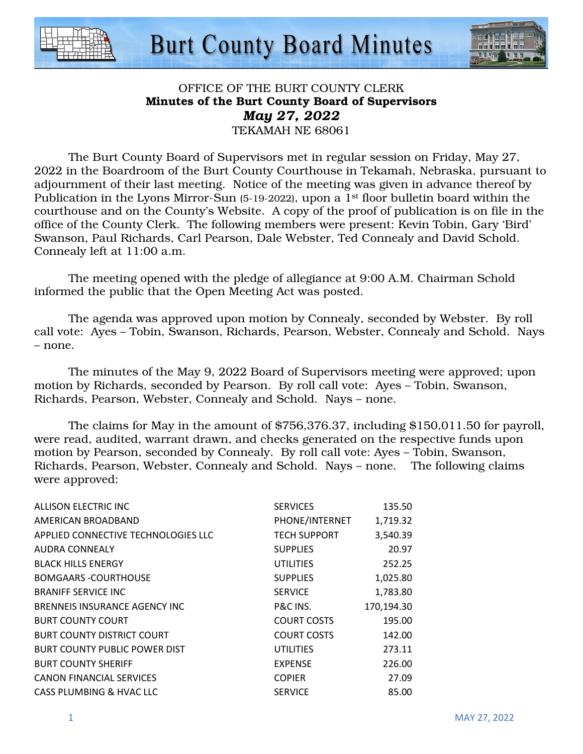



# OFFICE OF THE BURT COUNTY CLERK Minutes of the Burt County Board of Supervisors *May 27, 2022*  TEKAMAH NE 68061

 The Burt County Board of Supervisors met in regular session on Friday, May 27, 2022 in the Boardroom of the Burt County Courthouse in Tekamah, Nebraska, pursuant to adjournment of their last meeting. Notice of the meeting was given in advance thereof by Publication in the Lyons Mirror-Sun (5-19-2022), upon a 1<sup>st</sup> floor bulletin board within the courthouse and on the County's Website. A copy of the proof of publication is on file in the office of the County Clerk. The following members were present: Kevin Tobin, Gary 'Bird' Swanson, Paul Richards, Carl Pearson, Dale Webster, Ted Connealy and David Schold. Connealy left at 11:00 a.m.

The meeting opened with the pledge of allegiance at 9:00 A.M. Chairman Schold informed the public that the Open Meeting Act was posted.

The agenda was approved upon motion by Connealy, seconded by Webster. By roll call vote: Ayes – Tobin, Swanson, Richards, Pearson, Webster, Connealy and Schold. Nays – none.

The minutes of the May 9, 2022 Board of Supervisors meeting were approved; upon motion by Richards, seconded by Pearson. By roll call vote: Ayes – Tobin, Swanson, Richards, Pearson, Webster, Connealy and Schold. Nays – none.

 The claims for May in the amount of \$756,376.37, including \$150,011.50 for payroll, were read, audited, warrant drawn, and checks generated on the respective funds upon motion by Pearson, seconded by Connealy. By roll call vote: Ayes – Tobin, Swanson, Richards, Pearson, Webster, Connealy and Schold. Nays – none. The following claims were approved:

| ALLISON ELECTRIC INC                 | <b>SERVICES</b>     | 135.50     |
|--------------------------------------|---------------------|------------|
| AMERICAN BROADBAND                   | PHONE/INTERNET      | 1,719.32   |
| APPLIED CONNECTIVE TECHNOLOGIES LLC  | <b>TECH SUPPORT</b> | 3,540.39   |
| AUDRA CONNEALY                       | <b>SUPPLIES</b>     | 20.97      |
| <b>BLACK HILLS ENERGY</b>            | UTILITIES           | 252.25     |
| <b>BOMGAARS -COURTHOUSE</b>          | <b>SUPPLIES</b>     | 1,025.80   |
| <b>BRANIFF SERVICE INC</b>           | <b>SERVICE</b>      | 1,783.80   |
| BRENNEIS INSURANCE AGENCY INC.       | P&C INS.            | 170,194.30 |
| <b>BURT COUNTY COURT</b>             | <b>COURT COSTS</b>  | 195.00     |
| <b>BURT COUNTY DISTRICT COURT</b>    | <b>COURT COSTS</b>  | 142.00     |
| <b>BURT COUNTY PUBLIC POWER DIST</b> | UTILITIES           | 273.11     |
| <b>BURT COUNTY SHERIFF</b>           | <b>EXPENSE</b>      | 226.00     |
| <b>CANON FINANCIAL SERVICES</b>      | <b>COPIER</b>       | 27.09      |
| CASS PLUMBING & HVAC LLC             | <b>SERVICE</b>      | 85.00      |
|                                      |                     |            |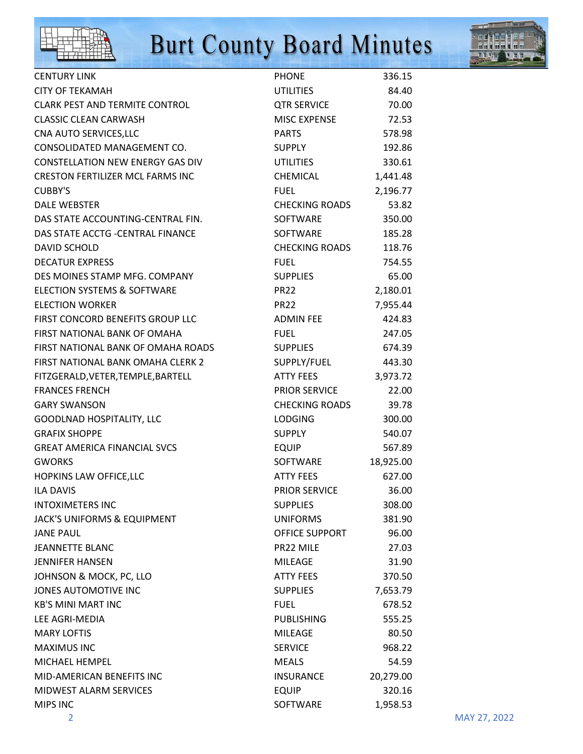



| <b>CENTURY LINK</b>                     | <b>PHONE</b>          | 336.15    |
|-----------------------------------------|-----------------------|-----------|
| <b>CITY OF TEKAMAH</b>                  | <b>UTILITIES</b>      | 84.40     |
| <b>CLARK PEST AND TERMITE CONTROL</b>   | <b>QTR SERVICE</b>    | 70.00     |
| <b>CLASSIC CLEAN CARWASH</b>            | MISC EXPENSE          | 72.53     |
| CNA AUTO SERVICES, LLC                  | <b>PARTS</b>          | 578.98    |
| CONSOLIDATED MANAGEMENT CO.             | <b>SUPPLY</b>         | 192.86    |
| <b>CONSTELLATION NEW ENERGY GAS DIV</b> | UTILITIES             | 330.61    |
| <b>CRESTON FERTILIZER MCL FARMS INC</b> | CHEMICAL              | 1,441.48  |
| <b>CUBBY'S</b>                          | <b>FUEL</b>           | 2,196.77  |
| <b>DALE WEBSTER</b>                     | <b>CHECKING ROADS</b> | 53.82     |
| DAS STATE ACCOUNTING-CENTRAL FIN.       | SOFTWARE              | 350.00    |
| DAS STATE ACCTG - CENTRAL FINANCE       | SOFTWARE              | 185.28    |
| <b>DAVID SCHOLD</b>                     | <b>CHECKING ROADS</b> | 118.76    |
| <b>DECATUR EXPRESS</b>                  | <b>FUEL</b>           | 754.55    |
| DES MOINES STAMP MFG. COMPANY           | <b>SUPPLIES</b>       | 65.00     |
| <b>ELECTION SYSTEMS &amp; SOFTWARE</b>  | <b>PR22</b>           | 2,180.01  |
| <b>ELECTION WORKER</b>                  | PR <sub>22</sub>      | 7,955.44  |
| FIRST CONCORD BENEFITS GROUP LLC        | <b>ADMIN FEE</b>      | 424.83    |
| FIRST NATIONAL BANK OF OMAHA            | <b>FUEL</b>           | 247.05    |
| FIRST NATIONAL BANK OF OMAHA ROADS      | <b>SUPPLIES</b>       | 674.39    |
| FIRST NATIONAL BANK OMAHA CLERK 2       | SUPPLY/FUEL           | 443.30    |
| FITZGERALD, VETER, TEMPLE, BARTELL      | <b>ATTY FEES</b>      | 3,973.72  |
| <b>FRANCES FRENCH</b>                   | PRIOR SERVICE         | 22.00     |
| <b>GARY SWANSON</b>                     | <b>CHECKING ROADS</b> | 39.78     |
| <b>GOODLNAD HOSPITALITY, LLC</b>        | <b>LODGING</b>        | 300.00    |
| <b>GRAFIX SHOPPE</b>                    | <b>SUPPLY</b>         | 540.07    |
| <b>GREAT AMERICA FINANCIAL SVCS</b>     | EQUIP                 | 567.89    |
| <b>GWORKS</b>                           | SOFTWARE              | 18,925.00 |
| HOPKINS LAW OFFICE, LLC                 | ATTY FEES             | 627.00    |
| <b>ILA DAVIS</b>                        | PRIOR SERVICE         | 36.00     |
| <b>INTOXIMETERS INC</b>                 | <b>SUPPLIES</b>       | 308.00    |
| JACK'S UNIFORMS & EQUIPMENT             | <b>UNIFORMS</b>       | 381.90    |
| <b>JANE PAUL</b>                        | OFFICE SUPPORT        | 96.00     |
| <b>JEANNETTE BLANC</b>                  | PR22 MILE             | 27.03     |
| <b>JENNIFER HANSEN</b>                  | <b>MILEAGE</b>        | 31.90     |
| JOHNSON & MOCK, PC, LLO                 | <b>ATTY FEES</b>      | 370.50    |
| JONES AUTOMOTIVE INC                    | <b>SUPPLIES</b>       | 7,653.79  |
| <b>KB'S MINI MART INC</b>               | <b>FUEL</b>           | 678.52    |
| LEE AGRI-MEDIA                          | <b>PUBLISHING</b>     | 555.25    |
| <b>MARY LOFTIS</b>                      | <b>MILEAGE</b>        | 80.50     |
| <b>MAXIMUS INC</b>                      | <b>SERVICE</b>        | 968.22    |
| MICHAEL HEMPEL                          | <b>MEALS</b>          | 54.59     |
| MID-AMERICAN BENEFITS INC               | <b>INSURANCE</b>      | 20,279.00 |
| MIDWEST ALARM SERVICES                  | <b>EQUIP</b>          | 320.16    |
| <b>MIPS INC</b>                         | SOFTWARE              | 1,958.53  |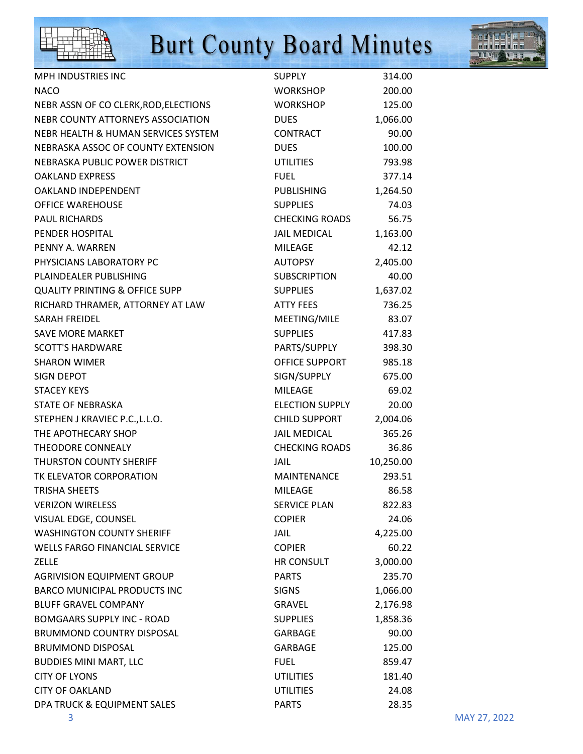



| <b>MPH INDUSTRIES INC</b>                 | <b>SUPPLY</b>          | 314.00    |
|-------------------------------------------|------------------------|-----------|
| <b>NACO</b>                               | <b>WORKSHOP</b>        | 200.00    |
| NEBR ASSN OF CO CLERK, ROD, ELECTIONS     | <b>WORKSHOP</b>        | 125.00    |
| NEBR COUNTY ATTORNEYS ASSOCIATION         | <b>DUES</b>            | 1,066.00  |
| NEBR HEALTH & HUMAN SERVICES SYSTEM       | <b>CONTRACT</b>        | 90.00     |
| NEBRASKA ASSOC OF COUNTY EXTENSION        | <b>DUES</b>            | 100.00    |
| NEBRASKA PUBLIC POWER DISTRICT            | <b>UTILITIES</b>       | 793.98    |
| <b>OAKLAND EXPRESS</b>                    | <b>FUEL</b>            | 377.14    |
| OAKLAND INDEPENDENT                       | <b>PUBLISHING</b>      | 1,264.50  |
| <b>OFFICE WAREHOUSE</b>                   | <b>SUPPLIES</b>        | 74.03     |
| <b>PAUL RICHARDS</b>                      | <b>CHECKING ROADS</b>  | 56.75     |
| PENDER HOSPITAL                           | <b>JAIL MEDICAL</b>    | 1,163.00  |
| PENNY A. WARREN                           | <b>MILEAGE</b>         | 42.12     |
| PHYSICIANS LABORATORY PC                  | <b>AUTOPSY</b>         | 2,405.00  |
| PLAINDEALER PUBLISHING                    | <b>SUBSCRIPTION</b>    | 40.00     |
| <b>QUALITY PRINTING &amp; OFFICE SUPP</b> | <b>SUPPLIES</b>        | 1,637.02  |
| RICHARD THRAMER, ATTORNEY AT LAW          | <b>ATTY FEES</b>       | 736.25    |
| <b>SARAH FREIDEL</b>                      | MEETING/MILE           | 83.07     |
| <b>SAVE MORE MARKET</b>                   | <b>SUPPLIES</b>        | 417.83    |
| <b>SCOTT'S HARDWARE</b>                   | PARTS/SUPPLY           | 398.30    |
| <b>SHARON WIMER</b>                       | OFFICE SUPPORT         | 985.18    |
| <b>SIGN DEPOT</b>                         | SIGN/SUPPLY            | 675.00    |
| <b>STACEY KEYS</b>                        | <b>MILEAGE</b>         | 69.02     |
| STATE OF NEBRASKA                         | <b>ELECTION SUPPLY</b> | 20.00     |
| STEPHEN J KRAVIEC P.C., L.L.O.            | <b>CHILD SUPPORT</b>   | 2,004.06  |
| THE APOTHECARY SHOP                       | <b>JAIL MEDICAL</b>    | 365.26    |
| THEODORE CONNEALY                         | <b>CHECKING ROADS</b>  | 36.86     |
| <b>THURSTON COUNTY SHERIFF</b>            | JAIL                   | 10,250.00 |
| TK ELEVATOR CORPORATION                   | <b>MAINTENANCE</b>     | 293.51    |
| <b>TRISHA SHEETS</b>                      | <b>MILEAGE</b>         | 86.58     |
| <b>VERIZON WIRELESS</b>                   | <b>SERVICE PLAN</b>    | 822.83    |
| VISUAL EDGE, COUNSEL                      | <b>COPIER</b>          | 24.06     |
| <b>WASHINGTON COUNTY SHERIFF</b>          | <b>JAIL</b>            | 4,225.00  |
| <b>WELLS FARGO FINANCIAL SERVICE</b>      | <b>COPIER</b>          | 60.22     |
| <b>ZELLE</b>                              | HR CONSULT             | 3,000.00  |
| <b>AGRIVISION EQUIPMENT GROUP</b>         | <b>PARTS</b>           | 235.70    |
| <b>BARCO MUNICIPAL PRODUCTS INC</b>       | <b>SIGNS</b>           | 1,066.00  |
| <b>BLUFF GRAVEL COMPANY</b>               | GRAVEL                 | 2,176.98  |
| <b>BOMGAARS SUPPLY INC - ROAD</b>         | <b>SUPPLIES</b>        | 1,858.36  |
| <b>BRUMMOND COUNTRY DISPOSAL</b>          | GARBAGE                | 90.00     |
| <b>BRUMMOND DISPOSAL</b>                  | <b>GARBAGE</b>         | 125.00    |
| <b>BUDDIES MINI MART, LLC</b>             | <b>FUEL</b>            | 859.47    |
| <b>CITY OF LYONS</b>                      | <b>UTILITIES</b>       | 181.40    |
| <b>CITY OF OAKLAND</b>                    | <b>UTILITIES</b>       | 24.08     |
| DPA TRUCK & EQUIPMENT SALES               | <b>PARTS</b>           | 28.35     |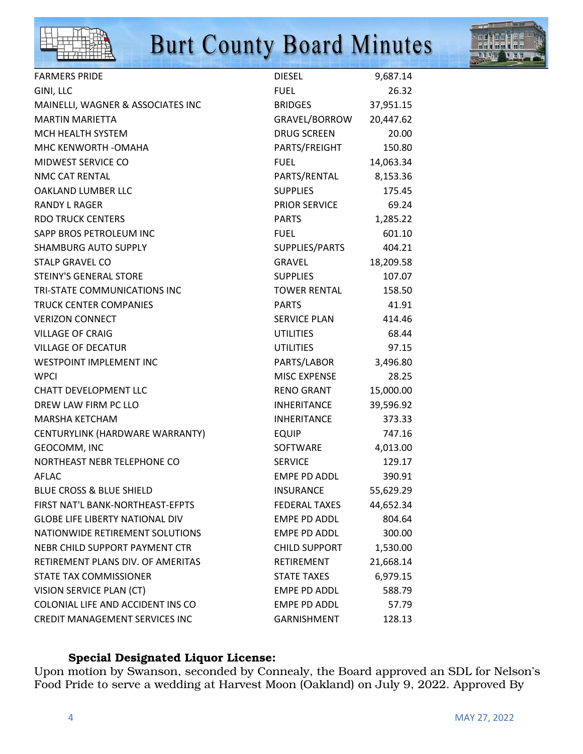



| <b>FARMERS PRIDE</b>                   | <b>DIESEL</b>        | 9,687.14  |
|----------------------------------------|----------------------|-----------|
| GINI, LLC                              | <b>FUEL</b>          | 26.32     |
| MAINELLI, WAGNER & ASSOCIATES INC      | <b>BRIDGES</b>       | 37,951.15 |
| <b>MARTIN MARIETTA</b>                 | GRAVEL/BORROW        | 20,447.62 |
| MCH HEALTH SYSTEM                      | <b>DRUG SCREEN</b>   | 20.00     |
| MHC KENWORTH - OMAHA                   | PARTS/FREIGHT        | 150.80    |
| MIDWEST SERVICE CO                     | <b>FUEL</b>          | 14,063.34 |
| NMC CAT RENTAL                         | PARTS/RENTAL         | 8,153.36  |
| OAKLAND LUMBER LLC                     | <b>SUPPLIES</b>      | 175.45    |
| <b>RANDY L RAGER</b>                   | <b>PRIOR SERVICE</b> | 69.24     |
| <b>RDO TRUCK CENTERS</b>               | <b>PARTS</b>         | 1,285.22  |
| SAPP BROS PETROLEUM INC                | <b>FUEL</b>          | 601.10    |
| <b>SHAMBURG AUTO SUPPLY</b>            | SUPPLIES/PARTS       | 404.21    |
| <b>STALP GRAVEL CO</b>                 | GRAVEL               | 18,209.58 |
| STEINY'S GENERAL STORE                 | <b>SUPPLIES</b>      | 107.07    |
| TRI-STATE COMMUNICATIONS INC           | <b>TOWER RENTAL</b>  | 158.50    |
| <b>TRUCK CENTER COMPANIES</b>          | <b>PARTS</b>         | 41.91     |
| <b>VERIZON CONNECT</b>                 | <b>SERVICE PLAN</b>  | 414.46    |
| <b>VILLAGE OF CRAIG</b>                | <b>UTILITIES</b>     | 68.44     |
| <b>VILLAGE OF DECATUR</b>              | <b>UTILITIES</b>     | 97.15     |
| <b>WESTPOINT IMPLEMENT INC</b>         | PARTS/LABOR          | 3,496.80  |
| <b>WPCI</b>                            | <b>MISC EXPENSE</b>  | 28.25     |
| <b>CHATT DEVELOPMENT LLC</b>           | <b>RENO GRANT</b>    | 15,000.00 |
| DREW LAW FIRM PC LLO                   | <b>INHERITANCE</b>   | 39,596.92 |
| <b>MARSHA KETCHAM</b>                  | <b>INHERITANCE</b>   | 373.33    |
| CENTURYLINK (HARDWARE WARRANTY)        | <b>EQUIP</b>         | 747.16    |
| GEOCOMM, INC                           | SOFTWARE             | 4,013.00  |
| NORTHEAST NEBR TELEPHONE CO            | <b>SERVICE</b>       | 129.17    |
| <b>AFLAC</b>                           | EMPE PD ADDL         | 390.91    |
| <b>BLUE CROSS &amp; BLUE SHIELD</b>    | <b>INSURANCE</b>     | 55,629.29 |
| FIRST NAT'L BANK-NORTHEAST-EFPTS       | <b>FEDERAL TAXES</b> | 44,652.34 |
| <b>GLOBE LIFE LIBERTY NATIONAL DIV</b> | <b>EMPE PD ADDL</b>  | 804.64    |
| NATIONWIDE RETIREMENT SOLUTIONS        | <b>EMPE PD ADDL</b>  | 300.00    |
| NEBR CHILD SUPPORT PAYMENT CTR         | <b>CHILD SUPPORT</b> | 1,530.00  |
| RETIREMENT PLANS DIV. OF AMERITAS      | RETIREMENT           | 21,668.14 |
| STATE TAX COMMISSIONER                 | <b>STATE TAXES</b>   | 6,979.15  |
| VISION SERVICE PLAN (CT)               | <b>EMPE PD ADDL</b>  | 588.79    |
| COLONIAL LIFE AND ACCIDENT INS CO      | <b>EMPE PD ADDL</b>  | 57.79     |
| <b>CREDIT MANAGEMENT SERVICES INC</b>  | <b>GARNISHMENT</b>   | 128.13    |

# Special Designated Liquor License:

Upon motion by Swanson, seconded by Connealy, the Board approved an SDL for Nelson's Food Pride to serve a wedding at Harvest Moon (Oakland) on July 9, 2022. Approved By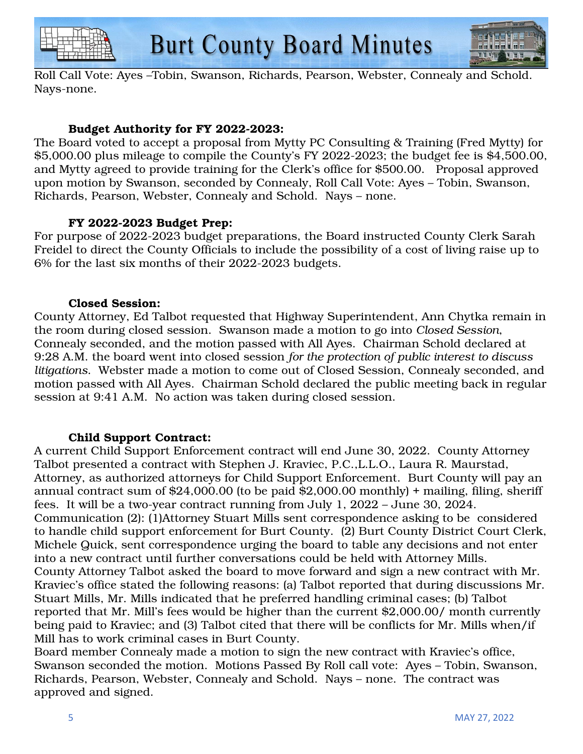$$
\begin{array}{|c|c|c|c|}\hline \text{L1} & \text{Tr} & \text{Tr} & \text{Tr} \\ \hline \text{L1} & \text{Tr} & \text{Tr} & \text{Tr} \\ \hline \text{L1} & \text{Tr} & \text{Tr} & \text{Tr} \\ \hline \text{L1} & \text{Tr} & \text{Tr} & \text{Tr} \\ \hline \text{L1} & \text{Tr} & \text{Tr} & \text{Tr} \\ \hline \end{array}
$$



Roll Call Vote: Ayes –Tobin, Swanson, Richards, Pearson, Webster, Connealy and Schold. Nays-none.

# Budget Authority for FY 2022-2023:

The Board voted to accept a proposal from Mytty PC Consulting & Training (Fred Mytty) for \$5,000.00 plus mileage to compile the County's FY 2022-2023; the budget fee is \$4,500.00, and Mytty agreed to provide training for the Clerk's office for \$500.00. Proposal approved upon motion by Swanson, seconded by Connealy, Roll Call Vote: Ayes – Tobin, Swanson, Richards, Pearson, Webster, Connealy and Schold. Nays – none.

### FY 2022-2023 Budget Prep:

For purpose of 2022-2023 budget preparations, the Board instructed County Clerk Sarah Freidel to direct the County Officials to include the possibility of a cost of living raise up to 6% for the last six months of their 2022-2023 budgets.

#### Closed Session:

County Attorney, Ed Talbot requested that Highway Superintendent, Ann Chytka remain in the room during closed session. Swanson made a motion to go into *Closed Session*, Connealy seconded, and the motion passed with All Ayes. Chairman Schold declared at 9:28 A.M. the board went into closed session *for the protection of public interest to discuss litigations*. Webster made a motion to come out of Closed Session, Connealy seconded, and motion passed with All Ayes. Chairman Schold declared the public meeting back in regular session at 9:41 A.M. No action was taken during closed session.

# Child Support Contract:

A current Child Support Enforcement contract will end June 30, 2022. County Attorney Talbot presented a contract with Stephen J. Kraviec, P.C.,L.L.O., Laura R. Maurstad, Attorney, as authorized attorneys for Child Support Enforcement. Burt County will pay an annual contract sum of \$24,000.00 (to be paid \$2,000.00 monthly) + mailing, filing, sheriff fees. It will be a two-year contract running from July 1, 2022 – June 30, 2024. Communication (2): (1)Attorney Stuart Mills sent correspondence asking to be considered to handle child support enforcement for Burt County. (2) Burt County District Court Clerk, Michele Quick, sent correspondence urging the board to table any decisions and not enter into a new contract until further conversations could be held with Attorney Mills. County Attorney Talbot asked the board to move forward and sign a new contract with Mr. Kraviec's office stated the following reasons: (a) Talbot reported that during discussions Mr. Stuart Mills, Mr. Mills indicated that he preferred handling criminal cases; (b) Talbot reported that Mr. Mill's fees would be higher than the current \$2,000.00/ month currently being paid to Kraviec; and (3) Talbot cited that there will be conflicts for Mr. Mills when/if Mill has to work criminal cases in Burt County.

Board member Connealy made a motion to sign the new contract with Kraviec's office, Swanson seconded the motion. Motions Passed By Roll call vote: Ayes – Tobin, Swanson, Richards, Pearson, Webster, Connealy and Schold. Nays – none. The contract was approved and signed.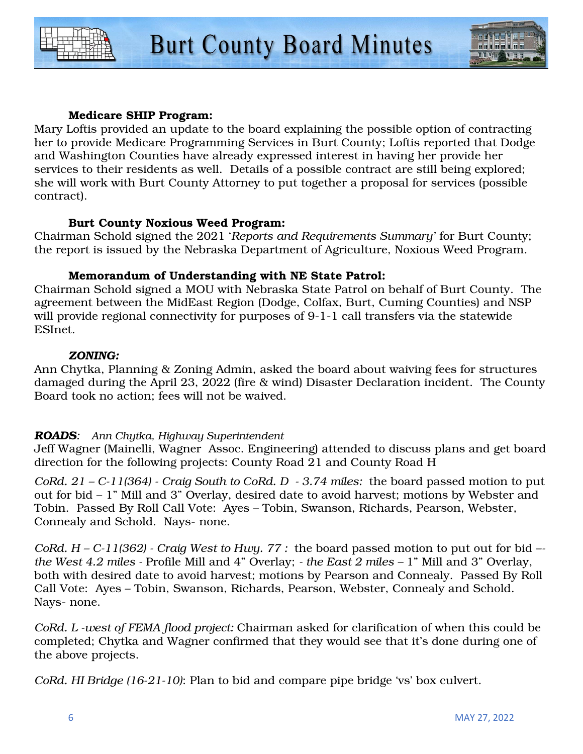



#### Medicare SHIP Program:

Mary Loftis provided an update to the board explaining the possible option of contracting her to provide Medicare Programming Services in Burt County; Loftis reported that Dodge and Washington Counties have already expressed interest in having her provide her services to their residents as well. Details of a possible contract are still being explored; she will work with Burt County Attorney to put together a proposal for services (possible contract).

#### Burt County Noxious Weed Program:

Chairman Schold signed the 2021 '*Reports and Requirements Summary'* for Burt County; the report is issued by the Nebraska Department of Agriculture, Noxious Weed Program.

#### Memorandum of Understanding with NE State Patrol:

Chairman Schold signed a MOU with Nebraska State Patrol on behalf of Burt County. The agreement between the MidEast Region (Dodge, Colfax, Burt, Cuming Counties) and NSP will provide regional connectivity for purposes of 9-1-1 call transfers via the statewide ESInet.

#### *ZONING:*

Ann Chytka, Planning & Zoning Admin, asked the board about waiving fees for structures damaged during the April 23, 2022 (fire & wind) Disaster Declaration incident. The County Board took no action; fees will not be waived.

#### *ROADS: Ann Chytka, Highway Superintendent*

Jeff Wagner (Mainelli, Wagner Assoc. Engineering) attended to discuss plans and get board direction for the following projects: County Road 21 and County Road H

*CoRd. 21 – C-11(364) - Craig South to CoRd. D - 3.74 miles:* the board passed motion to put out for bid – 1" Mill and 3" Overlay, desired date to avoid harvest; motions by Webster and Tobin. Passed By Roll Call Vote: Ayes – Tobin, Swanson, Richards, Pearson, Webster, Connealy and Schold. Nays- none.

*CoRd. H – C-11(362) - Craig West to Hwy. 77 :* the board passed motion to put out for bid – *the West 4.2 miles -* Profile Mill and 4" Overlay; *- the East 2 miles –* 1" Mill and 3" Overlay, both with desired date to avoid harvest; motions by Pearson and Connealy. Passed By Roll Call Vote: Ayes – Tobin, Swanson, Richards, Pearson, Webster, Connealy and Schold. Nays- none.

*CoRd. L -west of FEMA flood project:* Chairman asked for clarification of when this could be completed; Chytka and Wagner confirmed that they would see that it's done during one of the above projects.

*CoRd. HI Bridge (16-21-10)*: Plan to bid and compare pipe bridge 'vs' box culvert.